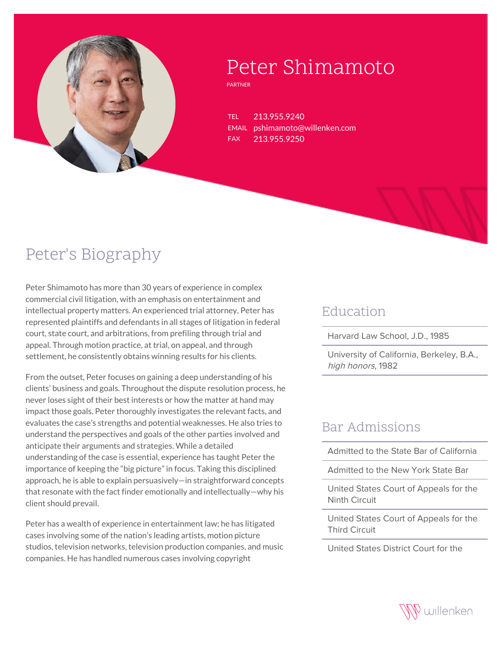

# Peter Shimamoto

PARTNER

TEL 213.955.9240 EMAIL pshimamoto@willenken.com FAX 213.955.9250

## Peter's Biography

Peter Shimamoto has more than 30 years of experience in complex commercial civil litigation, with an emphasis on entertainment and intellectual property matters. An experienced trial attorney, Peter has represented plaintiffs and defendants in all stages of litigation in federal court, state court, and arbitrations, from prefiling through trial and appeal. Through motion practice, at trial, on appeal, and through settlement, he consistently obtains winning results for his clients.

From the outset, Peter focuses on gaining a deep understanding of his clients' business and goals. Throughout the dispute resolution process, he never loses sight of their best interests or how the matter at hand may impact those goals. Peter thoroughly investigates the relevant facts, and evaluates the case's strengths and potential weaknesses. He also tries to understand the perspectives and goals of the other parties involved and anticipate their arguments and strategies. While a detailed understanding of the case is essential, experience has taught Peter the importance of keeping the "big picture" in focus. Taking this disciplined approach, he is able to explain persuasively—in straightforward concepts that resonate with the fact finder emotionally and intellectually—why his client should prevail.

Peter has a wealth of experience in entertainment law; he has litigated cases involving some of the nation's leading artists, motion picture studios, television networks, television production companies, and music companies. He has handled numerous cases involving copyright

#### Education

Harvard Law School, J.D., 1985

University of California, Berkeley, B.A., high honors, 1982

#### Bar Admissions

Admitted to the State Bar of California

Admitted to the New York State Bar

United States Court of Appeals for the Ninth Circuit

United States Court of Appeals for the Third Circuit

United States District Court for the

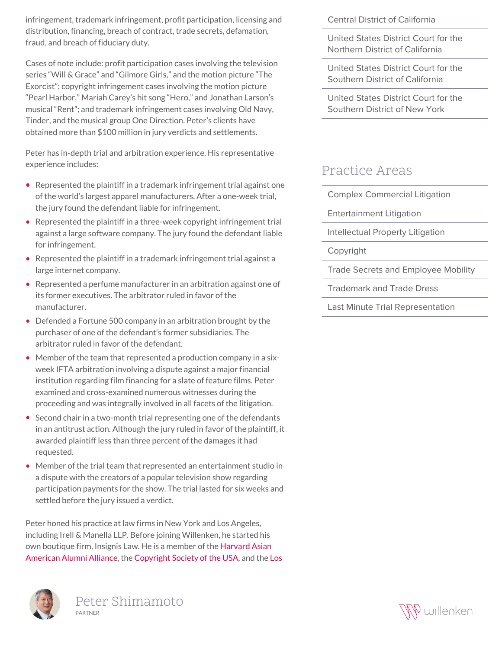infringement, trademark infringement, profit participation, licensing and distribution, financing, breach of contract, trade secrets, defamation, fraud, and breach of fiduciary duty.

Cases of note include: profit participation cases involving the television series "Will & Grace" and "Gilmore Girls," and the motion picture "The Exorcist"; copyright infringement cases involving the motion picture "Pearl Harbor," Mariah Carey's hit song "Hero," and Jonathan Larson's musical "Rent"; and trademark infringement cases involving Old Navy, Tinder, and the musical group One Direction. Peter's clients have obtained more than \$100 million in jury verdicts and settlements.

Peter has in-depth trial and arbitration experience. His representative experience includes:

- Represented the plaintiff in a trademark infringement trial against one of the world's largest apparel manufacturers. After a one-week trial, the jury found the defendant liable for infringement.
- Represented the plaintiff in a three-week copyright infringement trial against a large software company. The jury found the defendant liable for infringement.
- Represented the plaintiff in a trademark infringement trial against a large internet company.
- Represented a perfume manufacturer in an arbitration against one of its former executives. The arbitrator ruled in favor of the manufacturer.
- Defended a Fortune 500 company in an arbitration brought by the purchaser of one of the defendant's former subsidiaries. The arbitrator ruled in favor of the defendant.
- Member of the team that represented a production company in a sixweek IFTA arbitration involving a dispute against a major financial institution regarding film financing for a slate of feature films. Peter examined and cross-examined numerous witnesses during the proceeding and was integrally involved in all facets of the litigation.
- Second chair in a two-month trial representing one of the defendants in an antitrust action. Although the jury ruled in favor of the plaintiff, it awarded plaintiff less than three percent of the damages it had requested.
- Member of the trial team that represented an entertainment studio in a dispute with the creators of a popular television show regarding participation payments for the show. The trial lasted for six weeks and settled before the jury issued a verdict.

Peter honed his practice at law firms in New York and Los Angeles, including Irell & Manella LLP. Before joining Willenken, he started his own boutique firm, Insignis Law. He is a member of the [Harvard Asian](http://haaaa.sigs.harvard.edu/) [American Alumni Alliance](http://haaaa.sigs.harvard.edu/), the [Copyright Society of the USA,](https://www.csusa.org/) and the [Los](http://www.copr.org/)





Central District of California

United States District Court for the Northern District of California

United States District Court for the Southern District of California

United States District Court for the Southern District of New York

#### Practice Areas

Complex Commercial Litigation

Entertainment Litigation

Intellectual Property Litigation

Copyright

Trade Secrets and Employee Mobility

Trademark and Trade Dress

Last Minute Trial Representation

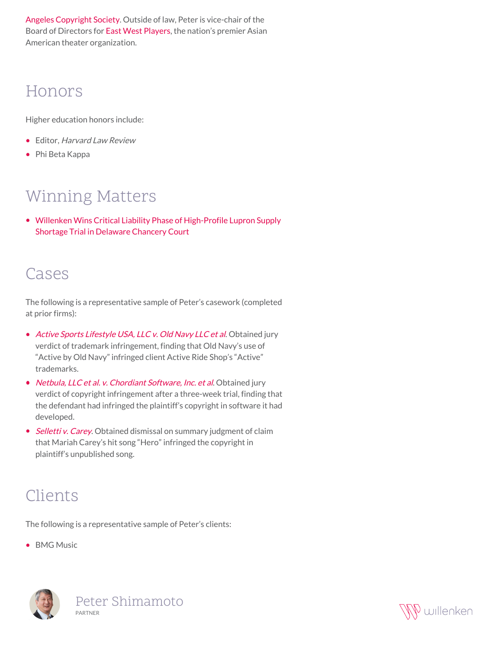[Angeles Copyright Society](http://www.copr.org/). Outside of law, Peter is vice-chair of the Board of Directors for [East West Players,](https://eastwestplayers.org/) the nation's premier Asian American theater organization.

### Honors

Higher education honors include:

- Editor, Harvard Law Review
- Phi Beta Kappa

### Winning Matters

[Willenken Wins Critical Liability Phase of High-Profile Lupron Supply](https://willenken.com/winning-matters/willenken-wins-critical-liability-phase-of-high-profile-lupron-supply-shortage-trial-in-delaware-chancery-court/) [Shortage Trial in Delaware Chancery Court](https://willenken.com/winning-matters/willenken-wins-critical-liability-phase-of-high-profile-lupron-supply-shortage-trial-in-delaware-chancery-court/)

#### Cases

The following is a representative sample of Peter's casework (completed at prior firms):

- [Active Sports Lifestyle USA, LLC v. Old Navy LLC et al](http://willenken.com/cases/active-sports-lifestyle-usa-llc-v-old-navy-llc-et-al/). Obtained jury verdict of trademark infringement, finding that Old Navy's use of "Active by Old Navy" infringed client Active Ride Shop's "Active" trademarks.
- [Netbula, LLC et al. v. Chordiant Software, Inc. et al](http://willenken.com/cases/netbula-llc-et-al-v-chordiant-software-inc-et-al/). Obtained jury verdict of copyright infringement after a three-week trial, finding that the defendant had infringed the plaintiff's copyright in software it had developed.
- [Selletti v. Carey](http://willenken.com/cases/selletti-v-carey/). Obtained dismissal on summary judgment of claim that Mariah Carey's hit song "Hero" infringed the copyright in plaintiff's unpublished song.

### Clients

The following is a representative sample of Peter's clients:

• BMG Music